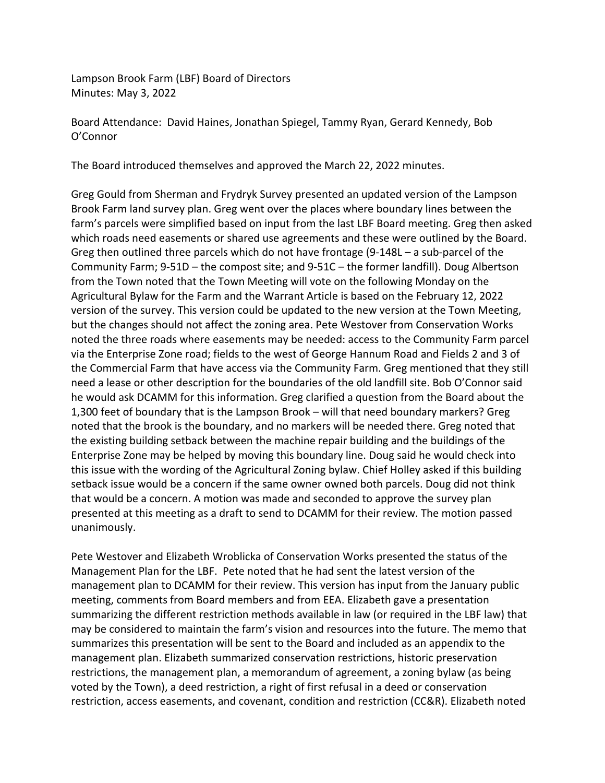Lampson Brook Farm (LBF) Board of Directors Minutes: May 3, 2022

Board Attendance: David Haines, Jonathan Spiegel, Tammy Ryan, Gerard Kennedy, Bob O'Connor

The Board introduced themselves and approved the March 22, 2022 minutes.

Greg Gould from Sherman and Frydryk Survey presented an updated version of the Lampson Brook Farm land survey plan. Greg went over the places where boundary lines between the farm's parcels were simplified based on input from the last LBF Board meeting. Greg then asked which roads need easements or shared use agreements and these were outlined by the Board. Greg then outlined three parcels which do not have frontage (9-148L – a sub-parcel of the Community Farm; 9-51D – the compost site; and 9-51C – the former landfill). Doug Albertson from the Town noted that the Town Meeting will vote on the following Monday on the Agricultural Bylaw for the Farm and the Warrant Article is based on the February 12, 2022 version of the survey. This version could be updated to the new version at the Town Meeting, but the changes should not affect the zoning area. Pete Westover from Conservation Works noted the three roads where easements may be needed: access to the Community Farm parcel via the Enterprise Zone road; fields to the west of George Hannum Road and Fields 2 and 3 of the Commercial Farm that have access via the Community Farm. Greg mentioned that they still need a lease or other description for the boundaries of the old landfill site. Bob O'Connor said he would ask DCAMM for this information. Greg clarified a question from the Board about the 1,300 feet of boundary that is the Lampson Brook – will that need boundary markers? Greg noted that the brook is the boundary, and no markers will be needed there. Greg noted that the existing building setback between the machine repair building and the buildings of the Enterprise Zone may be helped by moving this boundary line. Doug said he would check into this issue with the wording of the Agricultural Zoning bylaw. Chief Holley asked if this building setback issue would be a concern if the same owner owned both parcels. Doug did not think that would be a concern. A motion was made and seconded to approve the survey plan presented at this meeting as a draft to send to DCAMM for their review. The motion passed unanimously.

Pete Westover and Elizabeth Wroblicka of Conservation Works presented the status of the Management Plan for the LBF. Pete noted that he had sent the latest version of the management plan to DCAMM for their review. This version has input from the January public meeting, comments from Board members and from EEA. Elizabeth gave a presentation summarizing the different restriction methods available in law (or required in the LBF law) that may be considered to maintain the farm's vision and resources into the future. The memo that summarizes this presentation will be sent to the Board and included as an appendix to the management plan. Elizabeth summarized conservation restrictions, historic preservation restrictions, the management plan, a memorandum of agreement, a zoning bylaw (as being voted by the Town), a deed restriction, a right of first refusal in a deed or conservation restriction, access easements, and covenant, condition and restriction (CC&R). Elizabeth noted